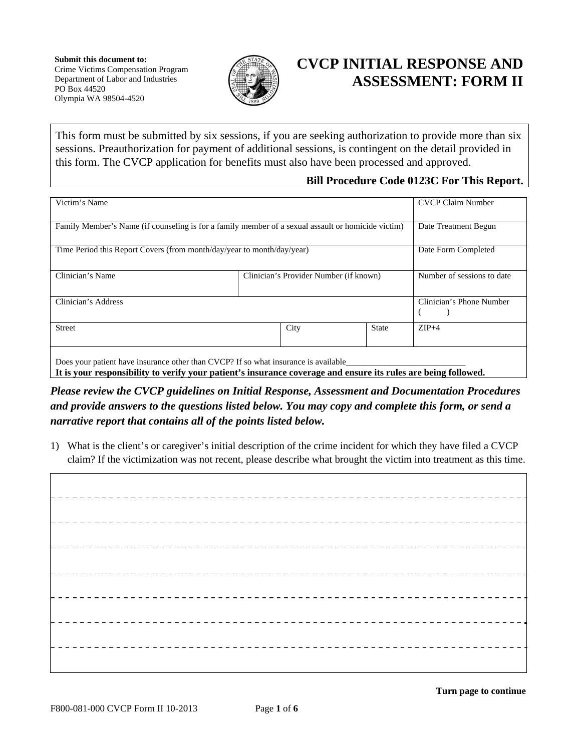

## **CVCP INITIAL RESPONSE AND ASSESSMENT: FORM II**

This form must be submitted by six sessions, if you are seeking authorization to provide more than six sessions. Preauthorization for payment of additional sessions, is contingent on the detail provided in this form. The CVCP application for benefits must also have been processed and approved.

## **Bill Procedure Code 0123C For This Report.**

| Victim's Name                                                                                                                                                                                         |                                        |              | <b>CVCP Claim Number</b>   |
|-------------------------------------------------------------------------------------------------------------------------------------------------------------------------------------------------------|----------------------------------------|--------------|----------------------------|
| Family Member's Name (if counseling is for a family member of a sexual assault or homicide victim)                                                                                                    | Date Treatment Begun                   |              |                            |
| Time Period this Report Covers (from month/day/year to month/day/year)                                                                                                                                | Date Form Completed                    |              |                            |
| Clinician's Name                                                                                                                                                                                      | Clinician's Provider Number (if known) |              | Number of sessions to date |
| Clinician's Address                                                                                                                                                                                   | Clinician's Phone Number               |              |                            |
| <b>Street</b>                                                                                                                                                                                         | City                                   | <b>State</b> | $ZIP+4$                    |
| Does your patient have insurance other than CVCP? If so what insurance is available<br>It is your responsibility to verify your patient's insurance coverage and ensure its rules are being followed. |                                        |              |                            |

*Please review the CVCP guidelines on Initial Response, Assessment and Documentation Procedures and provide answers to the questions listed below. You may copy and complete this form, or send a narrative report that contains all of the points listed below.* 

1) What is the client's or caregiver's initial description of the crime incident for which they have filed a CVCP claim? If the victimization was not recent, please describe what brought the victim into treatment as this time.

\_ \_ \_ \_ \_ \_ \_ \_ \_ \_ \_ \_ \_ \_ \_ -----------------------\_ \_ \_ \_ \_ \_ \_ \_ \_ \_ \_ \_ \_ \_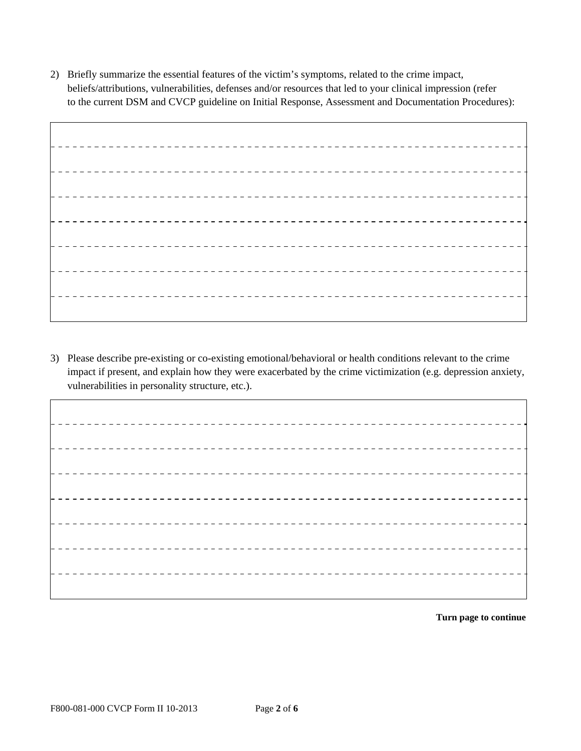2) Briefly summarize the essential features of the victim's symptoms, related to the crime impact, beliefs/attributions, vulnerabilities, defenses and/or resources that led to your clinical impression (refer to the current DSM and CVCP guideline on Initial Response, Assessment and Documentation Procedures):

3) Please describe pre-existing or co-existing emotional/behavioral or health conditions relevant to the crime impact if present, and explain how they were exacerbated by the crime victimization (e.g. depression anxiety, vulnerabilities in personality structure, etc.).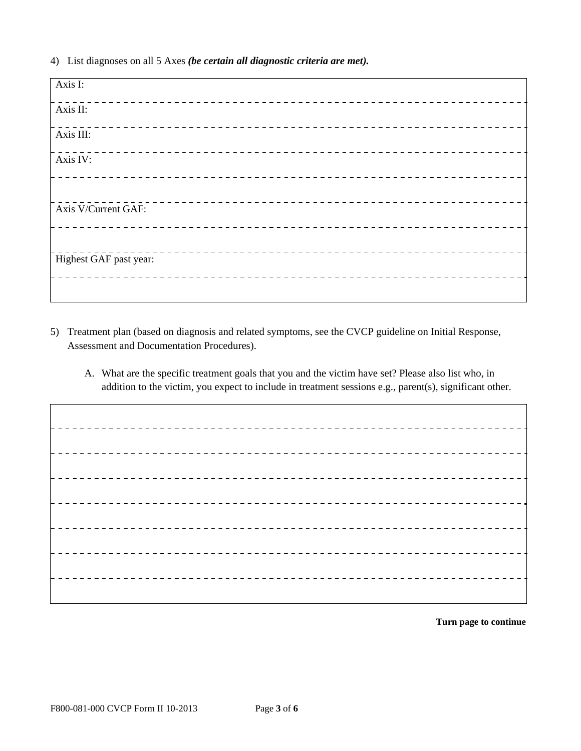4) List diagnoses on all 5 Axes *(be certain all diagnostic criteria are met).*

| Axis I:                |  |
|------------------------|--|
| Axis II:               |  |
| Axis III:              |  |
| Axis IV:               |  |
|                        |  |
| Axis V/Current GAF:    |  |
|                        |  |
| Highest GAF past year: |  |
|                        |  |

- 5) Treatment plan (based on diagnosis and related symptoms, see the CVCP guideline on Initial Response, Assessment and Documentation Procedures).
	- A. What are the specific treatment goals that you and the victim have set? Please also list who, in addition to the victim, you expect to include in treatment sessions e.g., parent(s), significant other.

---------<u> - - - - - - - - - - - - - - -</u>  $- - - - - - -$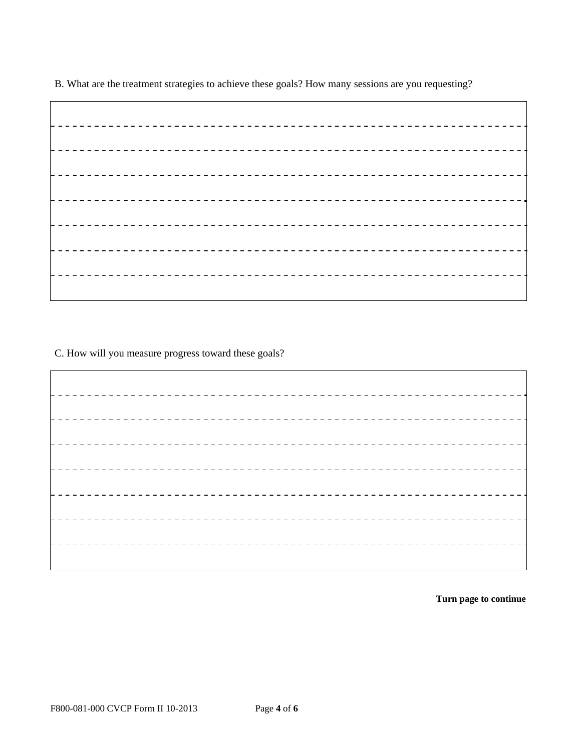B. What are the treatment strategies to achieve these goals? How many sessions are you requesting?

C. How will you measure progress toward these goals?

------------\_ \_ \_ \_ \_ \_ \_ \_ \_ \_ \_ \_ \_ \_ \_ \_ \_ \_ \_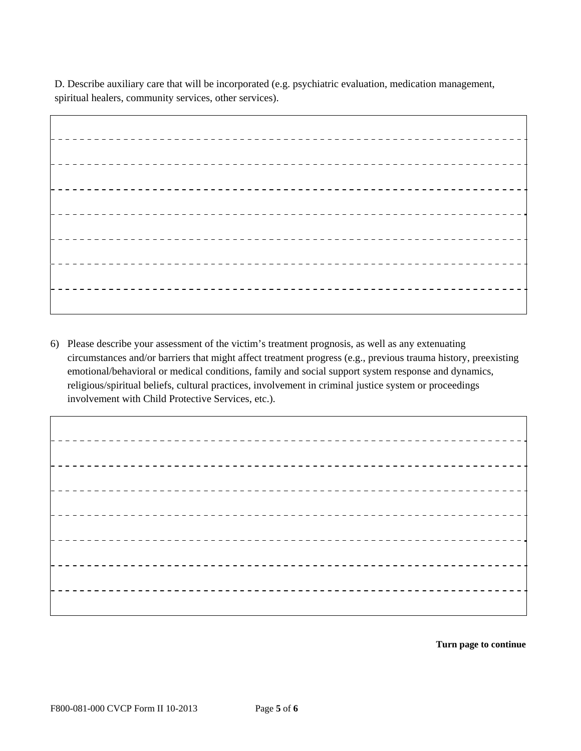D. Describe auxiliary care that will be incorporated (e.g. psychiatric evaluation, medication management, spiritual healers, community services, other services).

\_ \_ \_ \_ \_ \_ \_ \_ \_ \_ \_ \_ \_

6) Please describe your assessment of the victim's treatment prognosis, as well as any extenuating circumstances and/or barriers that might affect treatment progress (e.g., previous trauma history, preexisting emotional/behavioral or medical conditions, family and social support system response and dynamics, religious/spiritual beliefs, cultural practices, involvement in criminal justice system or proceedings involvement with Child Protective Services, etc.).

-----------